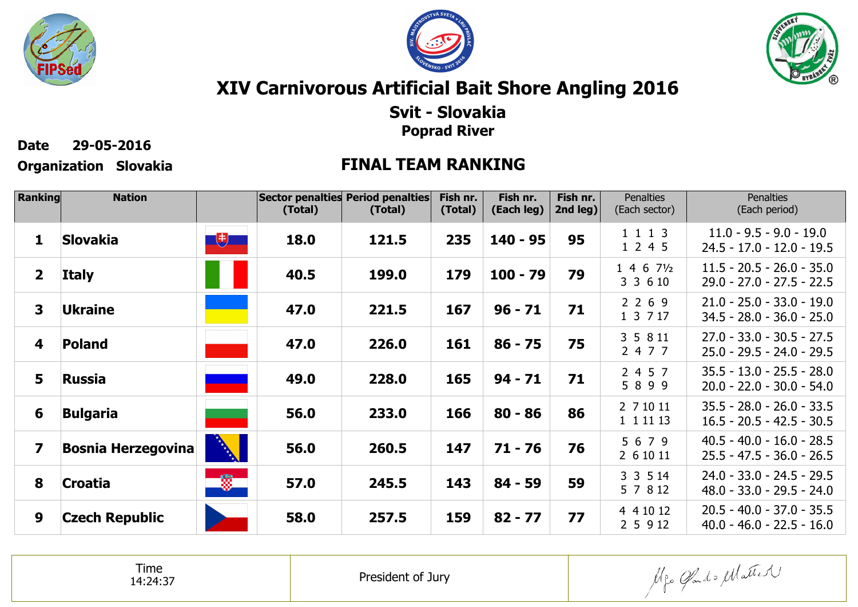





# **XIV Carnivorous Artificial Bait Shore Angling 2016**

### **Svit - SlovakiaPoprad River**

**Date 29-05-2016**

## **Organization Slovakia FINAL TEAM RANKING**

| Ranking                 | <b>Nation</b>             |                      | (Total) | Sector penalties Period penalties<br>(Total) | Fish nr.<br>(Total) | Fish nr.<br>(Each leg) | Fish nr.<br>2nd leg) | <b>Penalties</b><br>(Each sector)   | <b>Penalties</b><br>(Each period)                          |
|-------------------------|---------------------------|----------------------|---------|----------------------------------------------|---------------------|------------------------|----------------------|-------------------------------------|------------------------------------------------------------|
| 1                       | <b>Slovakia</b>           | 电                    | 18.0    | 121.5                                        | 235                 | $140 - 95$             | 95                   | 1 1 1 3<br>1 2 4 5                  | $11.0 - 9.5 - 9.0 - 19.0$<br>$24.5 - 17.0 - 12.0 - 19.5$   |
| $\overline{\mathbf{2}}$ | <b>Italy</b>              |                      | 40.5    | 199.0                                        | 179                 | $100 - 79$             | 79                   | $1\ 4\ 6\ 7\frac{1}{2}$<br>3 3 6 10 | $11.5 - 20.5 - 26.0 - 35.0$<br>$29.0 - 27.0 - 27.5 - 22.5$ |
| 3                       | <b>Ukraine</b>            |                      | 47.0    | 221.5                                        | 167                 | $96 - 71$              | 71                   | 2 2 6 9<br>1 3 7 17                 | $21.0 - 25.0 - 33.0 - 19.0$<br>$34.5 - 28.0 - 36.0 - 25.0$ |
| 4                       | Poland                    |                      | 47.0    | 226.0                                        | 161                 | $86 - 75$              | 75                   | 3 5 8 11<br>2 4 7 7                 | $27.0 - 33.0 - 30.5 - 27.5$<br>$25.0 - 29.5 - 24.0 - 29.5$ |
| 5                       | <b>Russia</b>             |                      | 49.0    | 228.0                                        | 165                 | $94 - 71$              | 71                   | 2 4 5 7<br>5 8 9 9                  | $35.5 - 13.0 - 25.5 - 28.0$<br>$20.0 - 22.0 - 30.0 - 54.0$ |
| 6                       | <b>Bulgaria</b>           |                      | 56.0    | 233.0                                        | 166                 | $80 - 86$              | 86                   | 2 7 10 11<br>1 1 1 1 1 1 3          | $35.5 - 28.0 - 26.0 - 33.5$<br>$16.5 - 20.5 - 42.5 - 30.5$ |
| 7                       | <b>Bosnia Herzegovina</b> | <b>REAL PROPERTY</b> | 56.0    | 260.5                                        | 147                 | $71 - 76$              | 76                   | 5 6 7 9<br>2 6 10 11                | $40.5 - 40.0 - 16.0 - 28.5$<br>$25.5 - 47.5 - 36.0 - 26.5$ |
| 8                       | <b>Croatia</b>            | $\frac{1}{2}$        | 57.0    | 245.5                                        | 143                 | $84 - 59$              | 59                   | 3 3 5 14<br>5 7 8 12                | $24.0 - 33.0 - 24.5 - 29.5$<br>$48.0 - 33.0 - 29.5 - 24.0$ |
| 9                       | <b>Czech Republic</b>     |                      | 58.0    | 257.5                                        | 159                 | $82 - 77$              | 77                   | 4 4 10 12<br>2 5 9 12               | $20.5 - 40.0 - 37.0 - 35.5$<br>$40.0 - 46.0 - 22.5 - 16.0$ |

Time14:24:37

President of Jury

Mgo Gado Matter